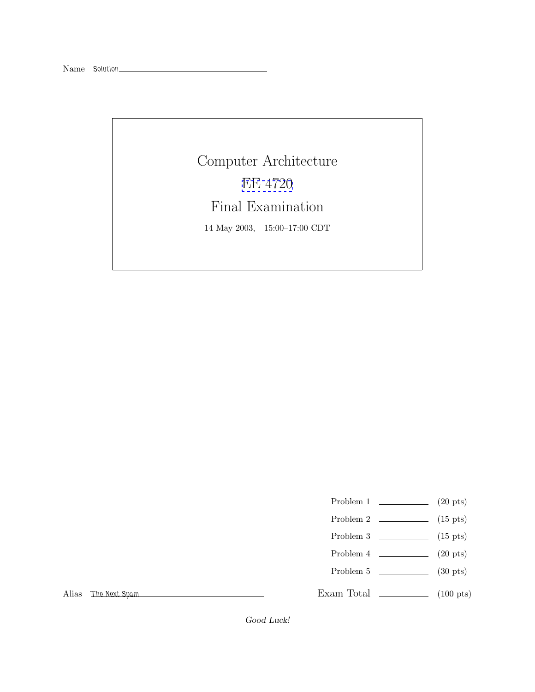Computer Architecture [EE 4720](http://www.ece.lsu.edu/ee4720/) Final Examination 14 May 2003, 15:00–17:00 CDT

Problem 1  $\qquad \qquad (20 \text{ pts})$ 

- Problem 2 (15 pts)
- Problem 3  $\qquad \qquad$  (15 pts)
- Problem  $4 \t\t(20 \text{ pts})$
- Problem 5  $\qquad \qquad$  (30 pts)

Exam Total \_\_\_\_\_\_\_\_\_\_\_\_\_ (100 pts)

Alias *The Next Spam*

*Good Luck!*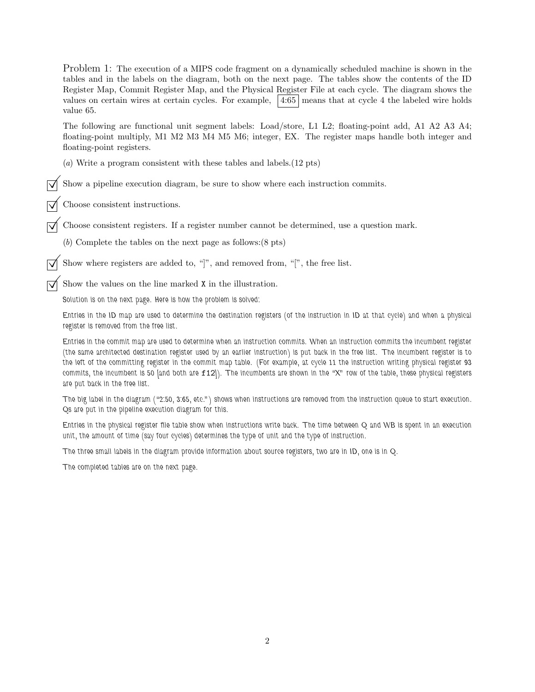Problem 1: The execution of a MIPS code fragment on a dynamically scheduled machine is shown in the tables and in the labels on the diagram, both on the next page. The tables show the contents of the ID Register Map, Commit Register Map, and the Physical Register File at each cycle. The diagram shows the values on certain wires at certain cycles. For example,  $\left| 4:65 \right|$  means that at cycle 4 the labeled wire holds value 65. The following are functional unit segment labels: Load/store, L1 L2; floating-point add, A1 A2 A3 A4; floating-point multiply, M1 M2 M3 M4 M5 M6; integer, EX. The register maps handle both integer and floating-point registers. (a) Write a program consistent with these tables and labels.(12 pts) Show a pipeline execution diagram, be sure to show where each instruction commits. ©Choose consistent instructions. ©Choose consistent registers. If a register number cannot be determined, use a question mark. (b) Complete the tables on the next page as follows:(8 pts) Show where registers are added to, " $]$ ", and removed from, " $]$ ", the free list. Show the values on the line marked  $\mathtt X$  in the illustration. *Solution is on the next page. Here is how the problem is solved: Entries in the ID map are used to determine the destination registers (of the instruction in ID at that cycle) and when a physical register is removed from the free list.*

*Entries in the commit map are used to determine when an instruction commits. When an instruction commits the incumbent register (the same architected destination register used by an earlier instruction) is put back in the free list. The incumbent register is to the left of the committing register in the commit map table. (For example, at cycle 11 the instruction writing physical register 93 commits, the incumbent is 50 [and both are* f12*]). The incumbents are shown in the "X" row of the table, these physical registers are put back in the free list.*

*The big label in the diagram ("2:50, 3:65, etc.") shows when instructions are removed from the instruction queue to start execution. Qs are put in the pipeline execution diagram for this.*

*Entries in the physical register file table show when instructions write back. The time between Q and WB is spent in an execution unit, the amount of time (say four cycles) determines the type of unit and the type of instruction.*

*The three small labels in the diagram provide information about source registers, two are in ID, one is in Q.*

*The completed tables are on the next page.*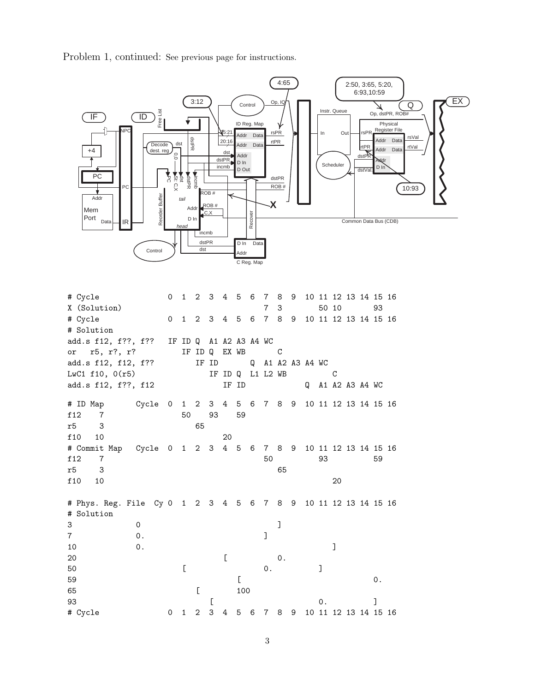Problem 1, continued: See previous page for instructions.



# Cycle 0 1 2 3 4 5 6 7 8 9 10 11 12 13 14 15 16 X (Solution) 7 3 50 10 93 # Cycle 0 1 2 3 4 5 6 7 8 9 10 11 12 13 14 15 16 # Solution add.s f12, f??, f?? IF ID Q A1 A2 A3 A4 WC or r5, r?, r? IF ID Q EX WB C add.s f12, f12, f?? IF ID Q A1 A2 A3 A4 WC LwC1 f10, 0(r5) IF ID Q L1 L2 WB C add.s f12, f??, f12 IF ID Q A1 A2 A3 A4 WC # ID Map Cycle 0 1 2 3 4 5 6 7 8 9 10 11 12 13 14 15 16 f12 7 50 93 59 r5 3 65 f10 10 20 # Commit Map Cycle 0 1 2 3 4 5 6 7 8 9 10 11 12 13 14 15 16 f 12 7 50 93 59 r5 3 65 f 10 10 20 # Phys. Reg. File Cy 0 1 2 3 4 5 6 7 8 9 10 11 12 13 14 15 16 # Solution 30 ] 7 0. 10 0. ] 20 [ 0. 50 [ 0. ]  $59$   $\qquad \qquad$  0. 65 [ 100 93 [ 0. ] # Cycle 0 1 2 3 4 5 6 7 8 9 10 11 12 13 14 15 16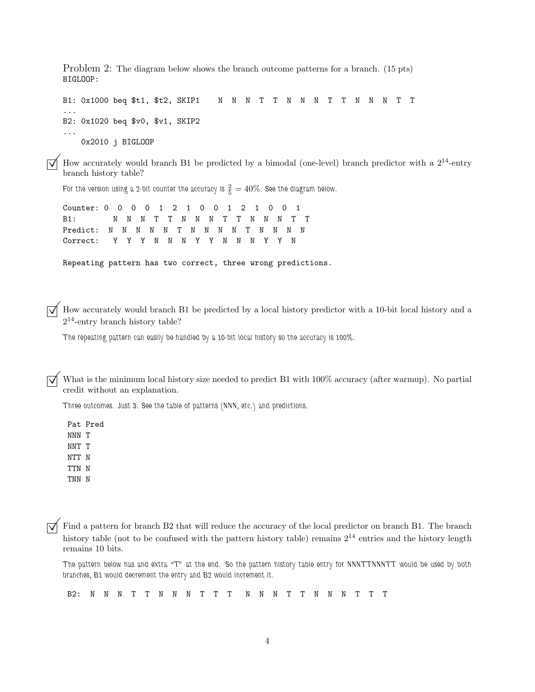Problem 2: The diagram below shows the branch outcome patterns for a branch. (15 pts) BIGLOOP:

B1: 0x1000 beq \$t1, \$t2, SKIP1 N N N T T N N N T T N N N T T ... B2: 0x1020 beq \$v0, \$v1, SKIP2 ... 0x2010 j BIGLOOP

How accurately would branch B1 be predicted by a bimodal (one-level) branch predictor with a  $2^{14}$ -entry branch history table?

For the version using a 2-bit counter the accuracy is  $\frac{2}{5} = 40\%$ . See the diagram below.

Counter: 0 0 0 0 1 2 1 0 0 1 2 1 0 0 1 B1: N N N T T N N N T T N N N T T Predict: N N N N N T N N N N T N N N N Correct: Y Y Y N N N Y Y N N N Y Y N

Repeating pattern has two correct, three wrong predictions.

How accurately would branch B1 be predicted by a local history predictor with a 10-bit local history and a  $2^{14}$ -entry branch history table?

*The repeating pattern can easily be handled by a 10-bit local history so the accuracy is 100%.*

What is the minimum local history size needed to predict B1 with 100% accuracy (after warmup). No partial credit without an explanation.

*Three outcomes. Just 3. See the table of patterns (NNN, etc.) and predictions.*

Pat Pred NNN T NNT T NTT N TTN N TNN N

 $\overline{\bigvee}$  Find a pattern for branch B2 that will reduce the accuracy of the local predictor on branch B1. The branch history table (not to be confused with the pattern history table) remains  $2^{14}$  entries and the histo remains 10 bits.

*The pattern below has and extra "T" at the end. So the pattern history table entry for NNNTTNNNTT would be used by both branches, B1 would decrement the entry and B2 would increment it.*

B2: N N N T T N N N T T T N N N T T N N N T T T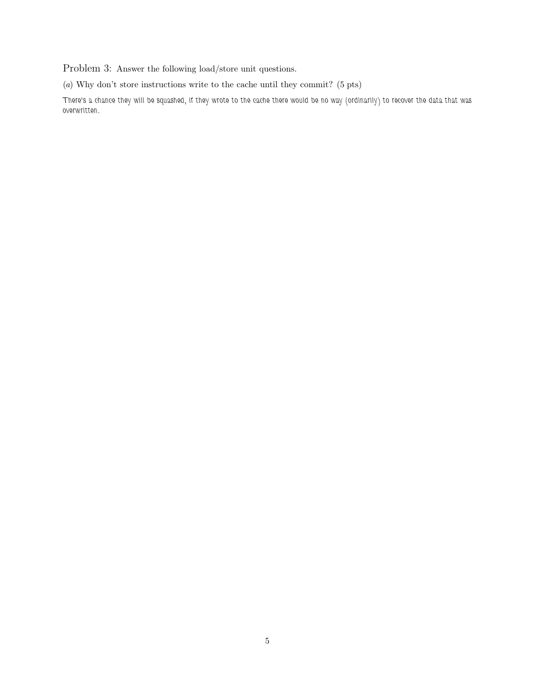Problem 3: Answer the following load/store unit questions.

(a) Why don't store instructions write to the cache until they commit? (5 pts)

*There's a chance they will be squashed, if they wrote to the cache there would be no way (ordinarily) to recover the data that was overwritten.*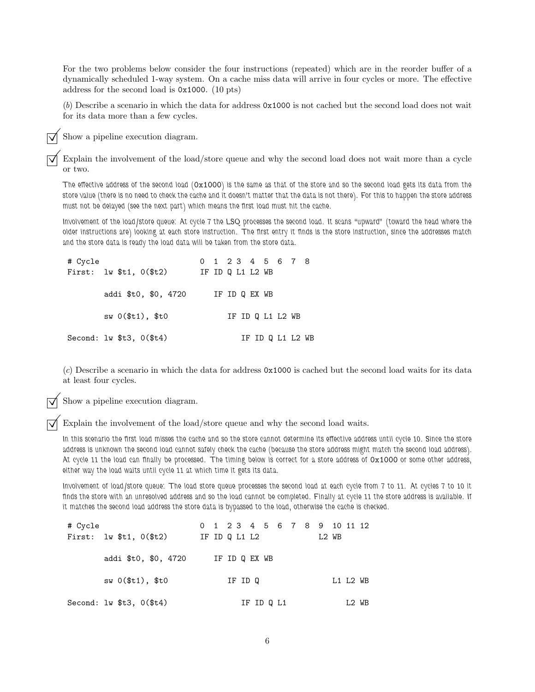For the two problems below consider the four instructions (repeated) which are in the reorder buffer of a dynamically scheduled 1-way system. On a cache miss data will arrive in four cycles or more. The effective address for the second load is 0x1000. (10 pts)

(b) Describe a scenario in which the data for address 0x1000 is not cached but the second load does not wait for its data more than a few cycles.

Show a pipeline execution diagram.

Explain the involvement of the load/store queue and why the second load does not wait more than a cycle or two.

*The effective address of the second load (*0x1000*) is the same as that of the store and so the second load gets its data from the store value (there is no need to check the cache and it doesn't matter that the data is not there). For this to happen the store address must not be delayed (see the next part) which means the first load must hit the cache.*

*Involvement of the load/store queue: At cycle 7 the LSQ processes the second load. It scans "upward" (toward the head where the older instructions are) looking at each store instruction. The first entry it finds is the store instruction, since the addresses match and the store data is ready the load data will be taken from the store data.*

| # Cycle |                                               |                  |  |               | 0 1 2 3 4 5 6 7 8 |  |
|---------|-----------------------------------------------|------------------|--|---------------|-------------------|--|
|         | First: $1w$ \$t1, $0$ (\$t2)                  | IF ID Q L1 L2 WB |  |               |                   |  |
|         | addi \$t0, \$0, 4720                          |                  |  | IF ID Q EX WB |                   |  |
|         | $sw(0(t1),$ \$t0                              |                  |  |               | IF ID Q L1 L2 WB  |  |
|         | Second: $\text{lw }$ \$t3, $0$ $(\text{ft4})$ |                  |  |               | IF ID Q L1 L2 WB  |  |

(c) Describe a scenario in which the data for address 0x1000 is cached but the second load waits for its data at least four cycles.

Show a pipeline execution diagram.

 $\overrightarrow{\mathcal{A}}$  Explain the involvement of the load/store queue and why the second load waits.

*In this scenario the first load misses the cache and so the store cannot determine its effective address until cycle 10. Since the store address is unknown the second load cannot safely check the cache (because the store address might match the second load address). At cycle 11 the load can finally be processed. The timing below is correct for a store address of* 0x1000 *or some other address, either way the load waits until cycle 11 at which time it gets its data.*

*Involvement of load/store queue: The load store queue processes the second load at each cycle from 7 to 11. At cycles 7 to 10 it finds the store with an unresolved address and so the load cannot be completed. Finally at cycle 11 the store address is available. If it matches the second load address the store data is bypassed to the load, otherwise the cache is checked.*

| # Cycle |                                     |  | 0 1 2 3 4 5 6 7 8 9 10 11 12 |  |            |  |       |          |       |  |
|---------|-------------------------------------|--|------------------------------|--|------------|--|-------|----------|-------|--|
|         | First: $1w$ \$t1, $0$ (\$t2)        |  | IF ID Q L1 L2                |  |            |  | L2 WB |          |       |  |
|         | addi \$t0, \$0, 4720                |  | IF ID Q EX WB                |  |            |  |       |          |       |  |
|         | $sw(0(t1),$ \$t0                    |  | IF ID Q                      |  |            |  |       | L1 L2 WB |       |  |
|         | Second: $\text{lw }$ $t3, 0$ $(t4)$ |  |                              |  | IF ID Q L1 |  |       |          | L2 WB |  |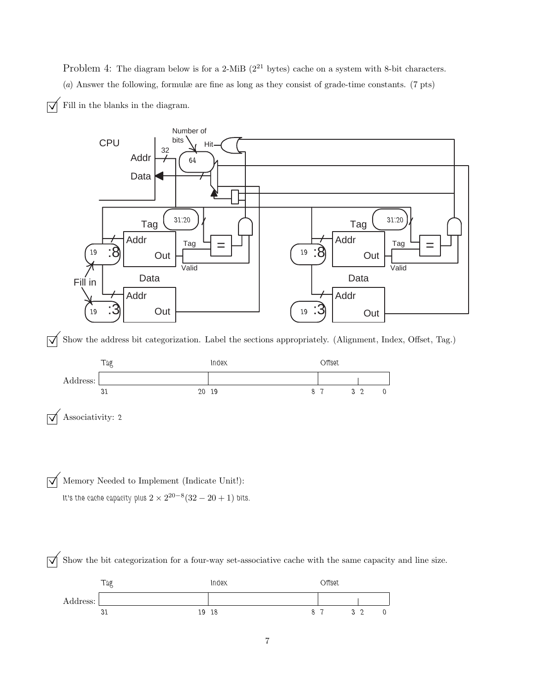Problem 4: The diagram below is for a 2-MiB ( $2^{21}$  bytes) cache on a system with 8-bit characters. (a) Answer the following, formulæ are fine as long as they consist of grade-time constants. (7 pts)





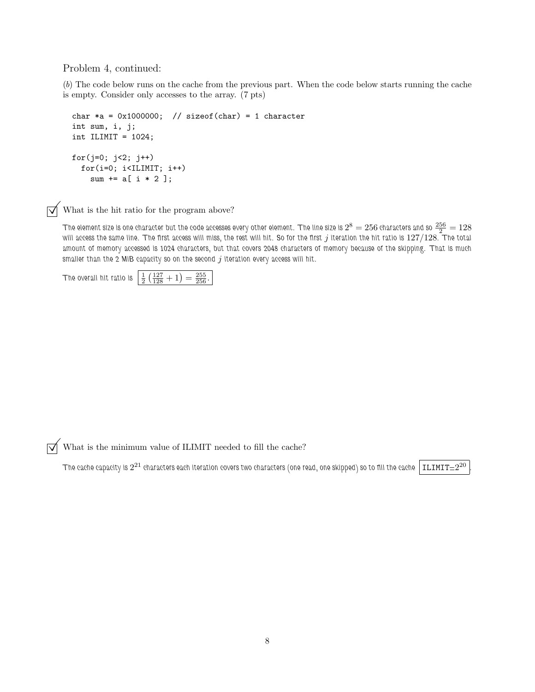Problem 4, continued:

(b) The code below runs on the cache from the previous part. When the code below starts running the cache is empty. Consider only accesses to the array. (7 pts)

```
char *a = 0x1000000; // sizeof(char) = 1 character
int sum, i, j;
int ILIMIT = 1024;
for(j=0; j<2; j++)
  for(i=0; i<ILIMIT; i++)
    sum += a[ i * 2 ];
```
 $\triangledown$  What is the hit ratio for the program above?

The element size is one character but the code accesses every other element. The line size is  $2^8=256$  characters and so  $\frac{256}{2}=128$ *will access the same line. The first access will miss, the rest will hit. So for the first j iteration the hit ratio is*  $127/128$ *. The total amount of memory accessed is 1024 characters, but that covers 2048 characters of memory because of the skipping. That is much smaller than the 2 MiB capacity so on the second j iteration every access will hit.* 

The overall hit ratio is  $\frac{1}{2} \left( \frac{127}{128} + 1 \right) = \frac{255}{256}$ .

 $\sqrt{\phantom{a}}$  What is the minimum value of ILIMIT needed to fill the cache?

The cache capacity is  $2^{21}$  characters each iteration covers two characters (one read, one skipped) so to fill the cache  $\big|$  ILIMIT $=$   $2^{20}$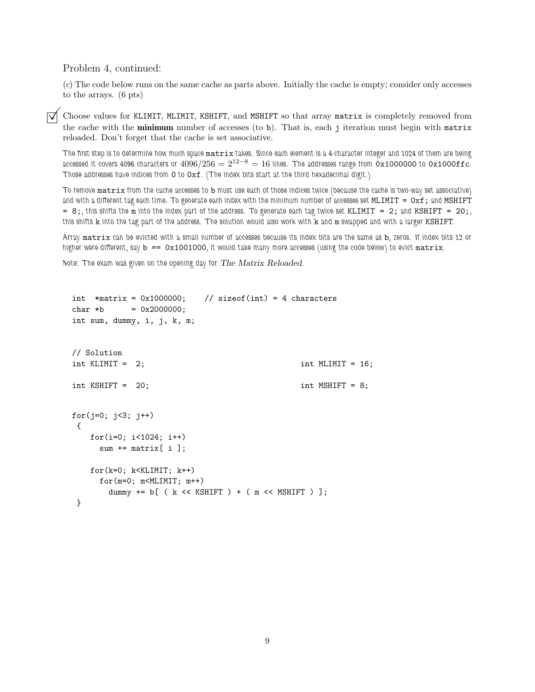Problem 4, continued:

(c) The code below runs on the same cache as parts above. Initially the cache is empty; consider only accesses to the arrays. (6 pts)

Choose values for KLIMIT, MLIMIT, KSHIFT, and MSHIFT so that array matrix is completely removed from the cache with the **minimum** number of accesses (to b). That is, each j iteration must begin with matrix reloaded. Don't forget that the cache is set associative.

*The first step is to determine how much space* matrix *takes. Since each element is a 4-character integer and 1024 of them are being accessed it covers 4096 characters or*  $4096/256 = 2^{12-8} = 16$  lines. The addresses range from  $0x1000000$  to  $0x1000$ ffc. *Those addresses have indices from* 0 *to* 0xf*. (The index bits start at the third hexadecimal digit.)*

*To remove* matrix *from the cache accesses to* b *must use each of those indices twice (because the cache is two-way set associative) and with a different tag each time. To generate each index with the minimum number of accesses set* MLIMIT = 0xf; *and* MSHIFT  $= 8$ ; this shifts the m into the index part of the address. To generate each tag twice set KLIMIT  $= 2$ ; and KSHIFT  $= 20$ ; *this shifts* k *into the tag part of the address. The solution would also work with* k *and* m *swapped and with a larger* KSHIFT*.*

*Array* matrix *can be evicted with a small number of accesses because its index bits are the same as* b*, zeros. If index bits 12 or higher were different, say* b == 0x1001000*, it would take many more accesses (using the code below) to evict* matrix*.*

*Note: The exam was given on the opening day for The Matrix Reloaded.*

```
int *matrix = 0x1000000; // sizeof(int) = 4 characters
char *b = 0x2000000:
int sum, dummy, i, j, k, m;
// Solution
int KLIMIT = 2; int MLIMIT = 16;
int KSHIFT = 20; int MSHIFT = 8;
for(j=0; j<3; j++){
   for(i=0; i<1024; i++)
    sum += matrix[ i ];
   for(k=0; k>KLLIMIT; k++)for(m=0; m<MLIMIT; m++)dummy += b [ ( k << KSHIFT ) + ( m << MSHIFT ) ];
}
```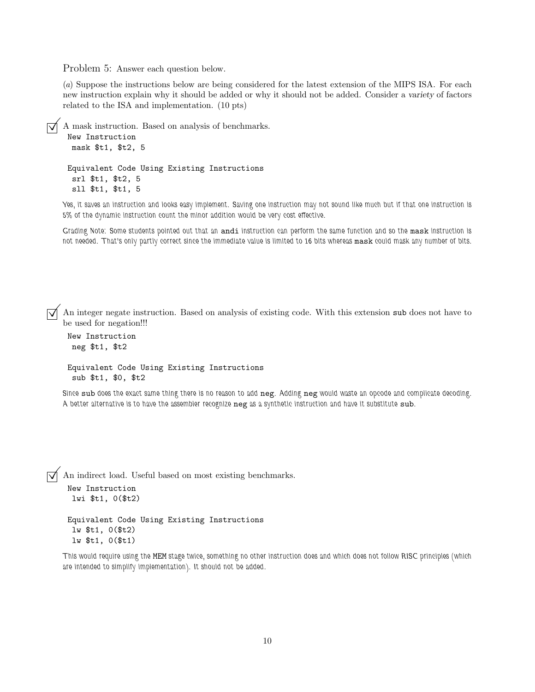Problem 5: Answer each question below.

(a) Suppose the instructions below are being considered for the latest extension of the MIPS ISA. For each new instruction explain why it should be added or why it should not be added. Consider a *variety* of factors related to the ISA and implementation. (10 pts)

```
© A mask instruction. Based on analysis of benchmarks.
 New Instruction
  mask $t1, $t2, 5
 Equivalent Code Using Existing Instructions
  srl $t1, $t2, 5
  sll $t1, $t1, 5
```
*Yes, it saves an instruction and looks easy implement. Saving one instruction may not sound like much but if that one instruction is 5% of the dynamic instruction count the minor addition would be very cost effective.*

*Grading Note: Some students pointed out that an* andi *instruction can perform the same function and so the* mask *instruction is not needed. That's only partly correct since the immediate value is limited to 16 bits whereas* mask *could mask any number of bits.*

 $\overrightarrow{\mathcal{A}}$  An integer negate instruction. Based on analysis of existing code. With this extension sub does not have to be used for negation!!!

New Instruction neg \$t1, \$t2

```
Equivalent Code Using Existing Instructions
 sub $t1, $0, $t2
```
*Since* sub *does the exact same thing there is no reason to add* neg*. Adding* neg *would waste an opcode and complicate decoding. A better alternative is to have the assembler recognize* neg *as a synthetic instruction and have it substitute* sub*.*

 $\overrightarrow{\mathcal{A}}$  An indirect load. Useful based on most existing benchmarks.

```
New Instruction
lwi $t1, 0($t2)
```
Equivalent Code Using Existing Instructions lw \$t1, 0(\$t2) lw \$t1, 0(\$t1)

*This would require using the* MEM *stage twice, something no other instruction does and which does not follow RISC principles (which are intended to simplify implementation). It should not be added.*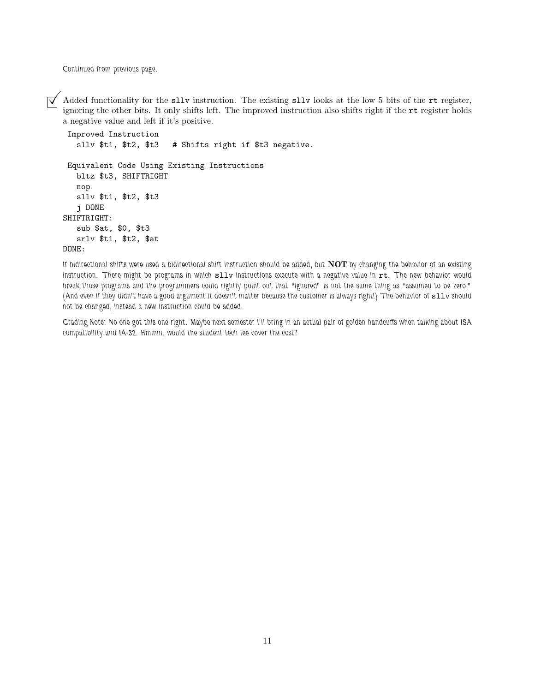*Continued from previous page.*

 $\overline{\bigvee}$  Added functionality for the sllv instruction. The existing sllv looks at the low 5 bits of the rt register, ignoring the other bits. It only shifts left. The improved instruction also shifts right if the rt reg a negative value and left if it's positive.

```
Improved Instruction
  sllv $t1, $t2, $t3 # Shifts right if $t3 negative.
Equivalent Code Using Existing Instructions
  bltz $t3, SHIFTRIGHT
  nop
  sllv $t1, $t2, $t3
   j DONE
SHIFTRIGHT:
  sub $at, $0, $t3
  srlv $t1, $t2, $at
DONE:
```
*If bidirectional shifts were used a bidirectional shift instruction should be added, but* **NOT** *by changing the behavior of an existing instruction.* There might be programs in which sllv instructions execute with a negative value in rt. The new behavior would *break those programs and the programmers could rightly point out that "ignored" is not the same thing as "assumed to be zero." (And even if they didn't have a good argument it doesn't matter because the customer is always right!) The behavior of sllv should not be changed, instead a new instruction could be added.*

*Grading Note: No one got this one right. Maybe next semester I'll bring in an actual pair of golden handcuffs when talking about ISA compatibility and IA-32. Hmmm, would the student tech fee cover the cost?*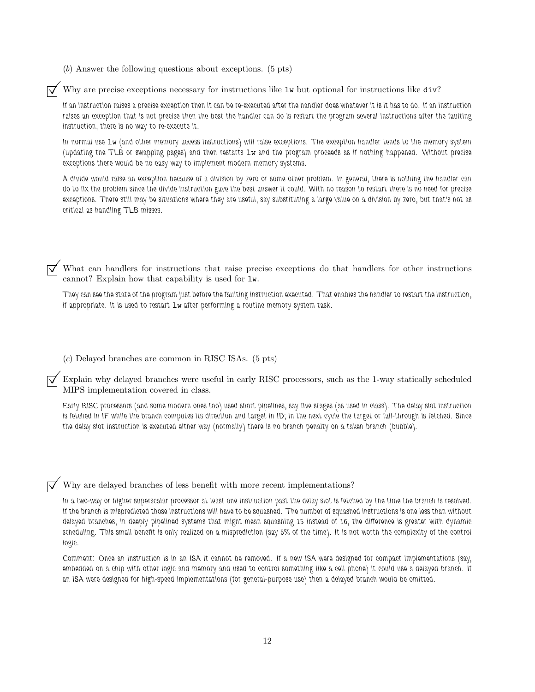(b) Answer the following questions about exceptions. (5 pts)

 $\triangledown$  Why are precise exceptions necessary for instructions like lw but optional for instructions like div?

*If an instruction raises a precise exception then it can be re-executed after the handler does whatever it is it has to do. If an instruction raises an exception that is not precise then the best the handler can do is restart the program several instructions after the faulting instruction, there is no way to re-execute it.*

*In normal use* lw *(and other memory access instructions) will raise exceptions. The exception handler tends to the memory system (updating the TLB or swapping pages) and then restarts* lw *and the program proceeds as if nothing happened. Without precise exceptions there would be no easy way to implement modern memory systems.*

*A divide would raise an exception because of a division by zero or some other problem. In general, there is nothing the handler can do to fix the problem since the divide instruction gave the best answer it could. With no reason to restart there is no need for precise exceptions. There still may be situations where they are useful, say substituting a large value on a division by zero, but that's not as critical as handling TLB misses.*

What can handlers for instructions that raise precise exceptions do that handlers for other instructions cannot? Explain how that capability is used for lw.

*They can see the state of the program just before the faulting instruction executed. That enables the handler to restart the instruction, if appropriate. It is used to restart* lw *after performing a routine memory system task.*

(c) Delayed branches are common in RISC ISAs. (5 pts)

©Explain why delayed branches were useful in early RISC processors, such as the 1-way statically scheduled MIPS implementation covered in class.

*Early RISC processors (and some modern ones too) used short pipelines, say five stages (as used in class). The delay slot instruction is fetched in IF while the branch computes its direction and target in ID; in the next cycle the target or fall-through is fetched. Since the delay slot instruction is executed either way (normally) there is no branch penalty on a taken branch (bubble).*

Why are delayed branches of less benefit with more recent implementations?

*In a two-way or higher superscalar processor at least one instruction past the delay slot is fetched by the time the branch is resolved. If the branch is mispredicted those instructions will have to be squashed. The number of squashed instructions is one less than without delayed branches, in deeply pipelined systems that might mean squashing 15 instead of 16, the difference is greater with dynamic scheduling. This small benefit is only realized on a misprediction (say 5% of the time). It is not worth the complexity of the control logic.*

*Comment: Once an instruction is in an ISA it cannot be removed. If a new ISA were designed for compact implementations (say, embedded on a chip with other logic and memory and used to control something like a cell phone) it could use a delayed branch. If an ISA were designed for high-speed implementations (for general-purpose use) then a delayed branch would be omitted.*